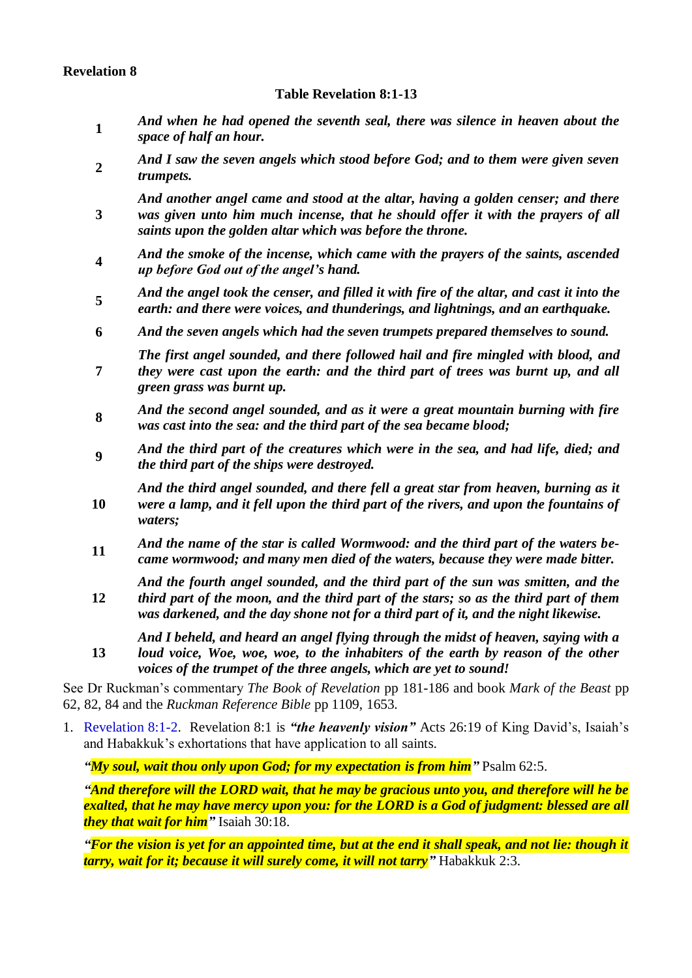# **Revelation 8**

## **Table Revelation 8:1-13**

- **1** *And when he had opened the seventh seal, there was silence in heaven about the space of half an hour.*
- **2** *And I saw the seven angels which stood before God; and to them were given seven trumpets.*
- **3** *And another angel came and stood at the altar, having a golden censer; and there was given unto him much incense, that he should offer it with the prayers of all saints upon the golden altar which was before the throne.*
- **4** *And the smoke of the incense, which came with the prayers of the saints, ascended up before God out of the angel's hand.*
- **5** And the angel took the censer, and filled it with fire of the altar, and cast it into the *earth: and there were voices, and thunderings, and lightnings, and an earthquake.*
- **6** *And the seven angels which had the seven trumpets prepared themselves to sound.*
- **7** *The first angel sounded, and there followed hail and fire mingled with blood, and they were cast upon the earth: and the third part of trees was burnt up, and all green grass was burnt up.*
- **8** *And the second angel sounded, and as it were a great mountain burning with fire was cast into the sea: and the third part of the sea became blood;*
- **9** *And the third part of the creatures which were in the sea, and had life, died; and the third part of the ships were destroyed.*
- **10** *And the third angel sounded, and there fell a great star from heaven, burning as it were a lamp, and it fell upon the third part of the rivers, and upon the fountains of waters;*
- **<sup>11</sup>** *And the name of the star is called Wormwood: and the third part of the waters became wormwood; and many men died of the waters, because they were made bitter.*

*And the fourth angel sounded, and the third part of the sun was smitten, and the* 

- **12** *third part of the moon, and the third part of the stars; so as the third part of them was darkened, and the day shone not for a third part of it, and the night likewise.*
- **13** *And I beheld, and heard an angel flying through the midst of heaven, saying with a loud voice, Woe, woe, woe, to the inhabiters of the earth by reason of the other voices of the trumpet of the three angels, which are yet to sound!*

See Dr Ruckman's commentary *The Book of Revelation* pp 181-186 and book *Mark of the Beast* pp 62, 82, 84 and the *Ruckman Reference Bible* pp 1109, 1653.

1. Revelation 8:1-2. Revelation 8:1 is *"the heavenly vision"* Acts 26:19 of King David's, Isaiah's and Habakkuk's exhortations that have application to all saints.

*"My soul, wait thou only upon God; for my expectation is from him"* Psalm 62:5.

*"And therefore will the LORD wait, that he may be gracious unto you, and therefore will he be exalted, that he may have mercy upon you: for the LORD is a God of judgment: blessed are all they that wait for him"* Isaiah 30:18.

*"For the vision is yet for an appointed time, but at the end it shall speak, and not lie: though it tarry, wait for it; because it will surely come, it will not tarry"* Habakkuk 2:3.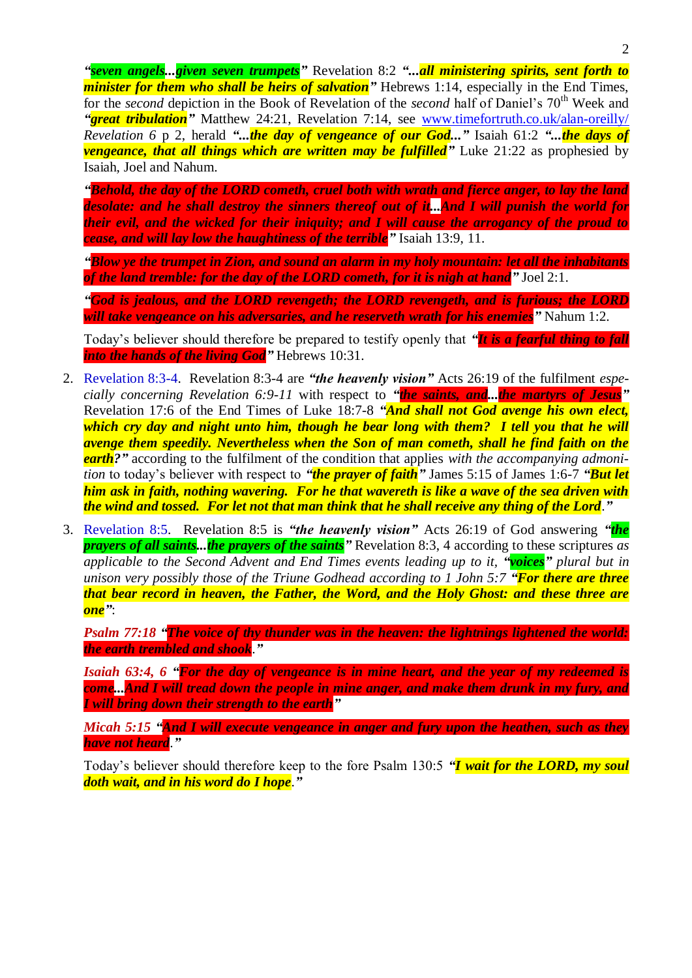*"seven angels...given seven trumpets"* Revelation 8:2 *"...all ministering spirits, sent forth to minister for them who shall be heirs of salvation*" Hebrews 1:14, especially in the End Times, for the *second* depiction in the Book of Revelation of the *second* half of Daniel's 70<sup>th</sup> Week and *"great tribulation"* Matthew 24:21, Revelation 7:14, see [www.timefortruth.co.uk/alan-oreilly/](http://www.timefortruth.co.uk/alan-oreilly/) *Revelation 6* p 2, herald *"...the day of vengeance of our God..."* Isaiah 61:2 *"...the days of vengeance, that all things which are written may be fulfilled* Luke 21:22 as prophesied by Isaiah, Joel and Nahum.

*"Behold, the day of the LORD cometh, cruel both with wrath and fierce anger, to lay the land desolate: and he shall destroy the sinners thereof out of it...And I will punish the world for their evil, and the wicked for their iniquity; and I will cause the arrogancy of the proud to cease, and will lay low the haughtiness of the terrible"* Isaiah 13:9, 11.

*"Blow ye the trumpet in Zion, and sound an alarm in my holy mountain: let all the inhabitants of the land tremble: for the day of the LORD cometh, for it is nigh at hand"* Joel 2:1.

*"God is jealous, and the LORD revengeth; the LORD revengeth, and is furious; the LORD will take vengeance on his adversaries, and he reserveth wrath for his enemies"* Nahum 1:2.

Today's believer should therefore be prepared to testify openly that *"It is a fearful thing to fall into the hands of the living God"* Hebrews 10:31.

- 2. Revelation 8:3-4. Revelation 8:3-4 are *"the heavenly vision"* Acts 26:19 of the fulfilment *especially concerning Revelation 6:9-11* with respect to *"the saints, and...the martyrs of Jesus"* Revelation 17:6 of the End Times of Luke 18:7-8 *"And shall not God avenge his own elect, which cry day and night unto him, though he bear long with them? I tell you that he will avenge them speedily. Nevertheless when the Son of man cometh, shall he find faith on the earth?"* according to the fulfilment of the condition that applies *with the accompanying admonition* to today's believer with respect to *"the prayer of faith"* James 5:15 of James 1:6-7 *"But let him ask in faith, nothing wavering. For he that wavereth is like a wave of the sea driven with the wind and tossed. For let not that man think that he shall receive any thing of the Lord*.*"*
- 3. Revelation 8:5. Revelation 8:5 is *"the heavenly vision"* Acts 26:19 of God answering *"the prayers of all saints...the prayers of the saints"* Revelation 8:3, 4 according to these scriptures *as applicable to the Second Advent and End Times events leading up to it, "voices" plural but in unison very possibly those of the Triune Godhead according to 1 John 5:7 "For there are three that bear record in heaven, the Father, the Word, and the Holy Ghost: and these three are one"*:

*Psalm 77:18 "The voice of thy thunder was in the heaven: the lightnings lightened the world: the earth trembled and shook*.*"*

*Isaiah 63:4, 6 "For the day of vengeance is in mine heart, and the year of my redeemed is come...And I will tread down the people in mine anger, and make them drunk in my fury, and I will bring down their strength to the earth"*

*Micah 5:15 "And I will execute vengeance in anger and fury upon the heathen, such as they have not heard*.*"*

Today's believer should therefore keep to the fore Psalm 130:5 *"I wait for the LORD, my soul doth wait, and in his word do I hope*.*"*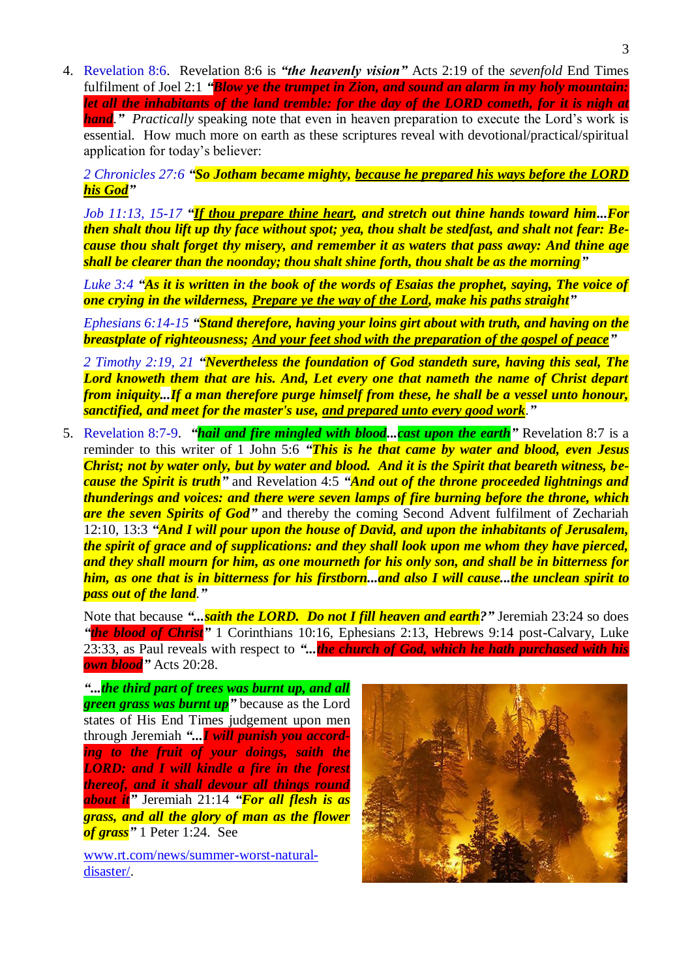4. Revelation 8:6. Revelation 8:6 is *"the heavenly vision"* Acts 2:19 of the *sevenfold* End Times fulfilment of Joel 2:1 *"Blow ye the trumpet in Zion, and sound an alarm in my holy mountain: let all the inhabitants of the land tremble: for the day of the LORD cometh, for it is nigh at*  **hand**." *Practically* speaking note that even in heaven preparation to execute the Lord's work is essential. How much more on earth as these scriptures reveal with devotional/practical/spiritual application for today's believer:

*2 Chronicles 27:6 "So Jotham became mighty, because he prepared his ways before the LORD his God"*

*Job 11:13, 15-17 "If thou prepare thine heart, and stretch out thine hands toward him...For then shalt thou lift up thy face without spot; yea, thou shalt be stedfast, and shalt not fear: Because thou shalt forget thy misery, and remember it as waters that pass away: And thine age shall be clearer than the noonday; thou shalt shine forth, thou shalt be as the morning"*

*Luke 3:4 "As it is written in the book of the words of Esaias the prophet, saying, The voice of one crying in the wilderness, Prepare ye the way of the Lord, make his paths straight"*

*Ephesians 6:14-15 "Stand therefore, having your loins girt about with truth, and having on the breastplate of righteousness; And your feet shod with the preparation of the gospel of peace"*

*2 Timothy 2:19, 21 "Nevertheless the foundation of God standeth sure, having this seal, The Lord knoweth them that are his. And, Let every one that nameth the name of Christ depart from iniquity...If a man therefore purge himself from these, he shall be a vessel unto honour, sanctified, and meet for the master's use, and prepared unto every good work*.*"*

5. Revelation 8:7-9. *"hail and fire mingled with blood...cast upon the earth"* Revelation 8:7 is a reminder to this writer of 1 John 5:6 *"This is he that came by water and blood, even Jesus Christ; not by water only, but by water and blood. And it is the Spirit that beareth witness, because the Spirit is truth"* and Revelation 4:5 *"And out of the throne proceeded lightnings and thunderings and voices: and there were seven lamps of fire burning before the throne, which*  **are the seven Spirits of God**" and thereby the coming Second Advent fulfilment of Zechariah 12:10, 13:3 *"And I will pour upon the house of David, and upon the inhabitants of Jerusalem, the spirit of grace and of supplications: and they shall look upon me whom they have pierced, and they shall mourn for him, as one mourneth for his only son, and shall be in bitterness for him, as one that is in bitterness for his firstborn...and also I will cause...the unclean spirit to pass out of the land*.*"*

Note that because *"...saith the LORD. Do not I fill heaven and earth?"* Jeremiah 23:24 so does *"the blood of Christ"* 1 Corinthians 10:16, Ephesians 2:13, Hebrews 9:14 post-Calvary, Luke 23:33, as Paul reveals with respect to *"...the church of God, which he hath purchased with his own blood"* Acts 20:28.

*"...the third part of trees was burnt up, and all green grass was burnt up* because as the Lord states of His End Times judgement upon men through Jeremiah *"...I will punish you according to the fruit of your doings, saith the LORD: and I will kindle a fire in the forest thereof, and it shall devour all things round about it"* Jeremiah 21:14 *"For all flesh is as grass, and all the glory of man as the flower of grass"* 1 Peter 1:24. See

[www.rt.com/news/summer-worst-natural](https://www.rt.com/news/summer-worst-natural-disaster/)[disaster/.](https://www.rt.com/news/summer-worst-natural-disaster/)

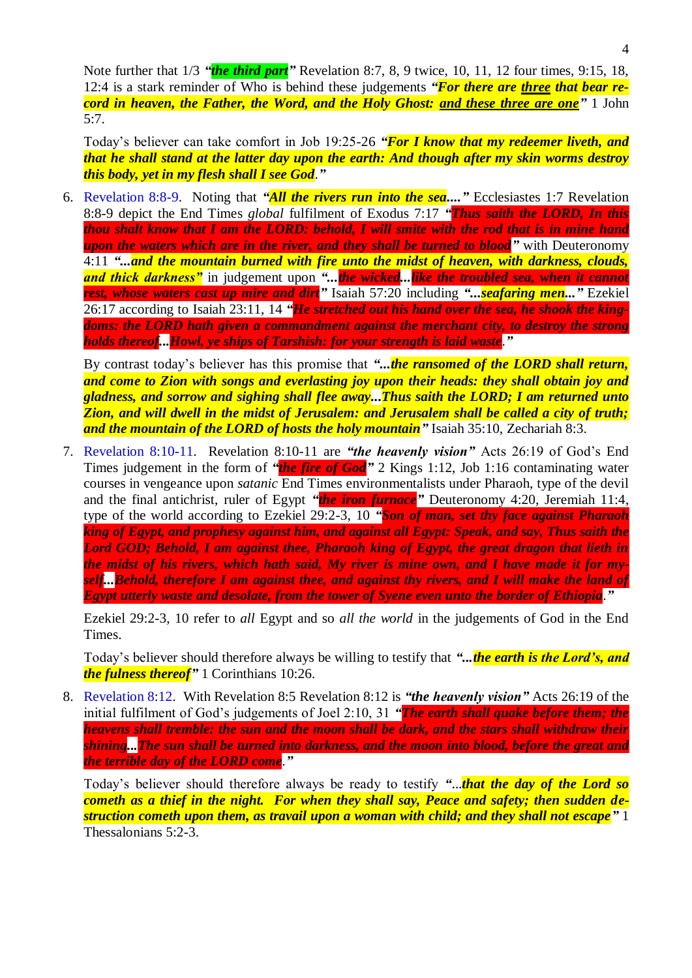Note further that 1/3 *"the third part"* Revelation 8:7, 8, 9 twice, 10, 11, 12 four times, 9:15, 18, 12:4 is a stark reminder of Who is behind these judgements *"For there are three that bear record in heaven, the Father, the Word, and the Holy Ghost: and these three are one"* 1 John 5:7.

Today's believer can take comfort in Job 19:25-26 *"For I know that my redeemer liveth, and that he shall stand at the latter day upon the earth: And though after my skin worms destroy this body, yet in my flesh shall I see God*.*"*

6. Revelation 8:8-9. Noting that *"All the rivers run into the sea...."* Ecclesiastes 1:7 Revelation 8:8-9 depict the End Times *global* fulfilment of Exodus 7:17 *"Thus saith the LORD, In this thou shalt know that I am the LORD: behold, I will smite with the rod that is in mine hand upon the waters which are in the river, and they shall be turned to blood"* with Deuteronomy 4:11 *"...and the mountain burned with fire unto the midst of heaven, with darkness, clouds, and thick darkness"* in judgement upon *"...the wicked...like the troubled sea, when it cannot rest, whose waters cast up mire and dirt"* Isaiah 57:20 including *"...seafaring men..."* Ezekiel 26:17 according to Isaiah 23:11, 14 *"He stretched out his hand over the sea, he shook the kingdoms: the LORD hath given a commandment against the merchant city, to destroy the strong holds thereof...Howl, ye ships of Tarshish: for your strength is laid waste*.*"*

By contrast today's believer has this promise that "...**the ransomed of the LORD shall return,** *and come to Zion with songs and everlasting joy upon their heads: they shall obtain joy and gladness, and sorrow and sighing shall flee away...Thus saith the LORD; I am returned unto Zion, and will dwell in the midst of Jerusalem: and Jerusalem shall be called a city of truth; and the mountain of the LORD of hosts the holy mountain"* Isaiah 35:10, Zechariah 8:3.

7. Revelation 8:10-11. Revelation 8:10-11 are *"the heavenly vision"* Acts 26:19 of God's End Times judgement in the form of *"the fire of God"* 2 Kings 1:12, Job 1:16 contaminating water courses in vengeance upon *satanic* End Times environmentalists under Pharaoh, type of the devil and the final antichrist, ruler of Egypt *"the iron furnace"* Deuteronomy 4:20, Jeremiah 11:4, type of the world according to Ezekiel 29:2-3, 10 *"Son of man, set thy face against Pharaoh king of Egypt, and prophesy against him, and against all Egypt: Speak, and say, Thus saith the Lord GOD; Behold, I am against thee, Pharaoh king of Egypt, the great dragon that lieth in the midst of his rivers, which hath said, My river is mine own, and I have made it for myself...Behold, therefore I am against thee, and against thy rivers, and I will make the land of Egypt utterly waste and desolate, from the tower of Syene even unto the border of Ethiopia*.*"*

Ezekiel 29:2-3, 10 refer to *all* Egypt and so *all the world* in the judgements of God in the End Times.

Today's believer should therefore always be willing to testify that *"...the earth is the Lord's, and the fulness thereof"* 1 Corinthians 10:26.

8. Revelation 8:12. With Revelation 8:5 Revelation 8:12 is *"the heavenly vision"* Acts 26:19 of the initial fulfilment of God's judgements of Joel 2:10, 31 *"The earth shall quake before them; the heavens shall tremble: the sun and the moon shall be dark, and the stars shall withdraw their shining...The sun shall be turned into darkness, and the moon into blood, before the great and the terrible day of the LORD come*.*"*

Today's believer should therefore always be ready to testify *"*...*that the day of the Lord so cometh as a thief in the night. For when they shall say, Peace and safety; then sudden destruction cometh upon them, as travail upon a woman with child; and they shall not escape"* 1 Thessalonians 5:2-3.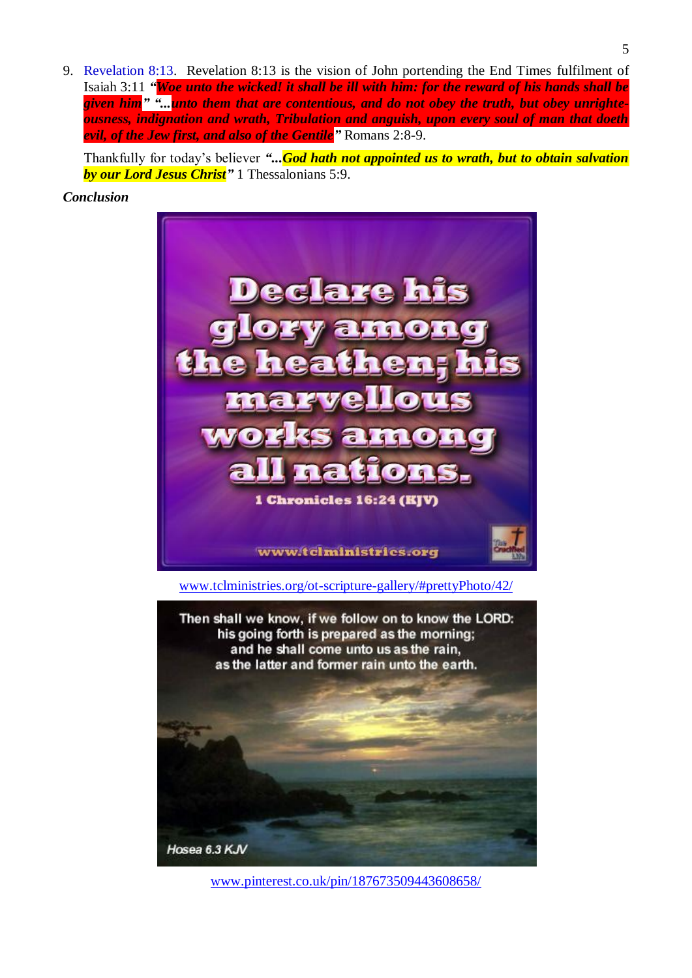9. Revelation 8:13. Revelation 8:13 is the vision of John portending the End Times fulfilment of Isaiah 3:11 *"Woe unto the wicked! it shall be ill with him: for the reward of his hands shall be given him" "...unto them that are contentious, and do not obey the truth, but obey unrighteousness, indignation and wrath, Tribulation and anguish, upon every soul of man that doeth evil, of the Jew first, and also of the Gentile"* Romans 2:8-9.

Thankfully for today's believer *"...God hath not appointed us to wrath, but to obtain salvation by our Lord Jesus Christ"* 1 Thessalonians 5:9.

*Conclusion*



Hosea 6.3 KJV

[www.pinterest.co.uk/pin/187673509443608658/](https://www.pinterest.co.uk/pin/187673509443608658/)